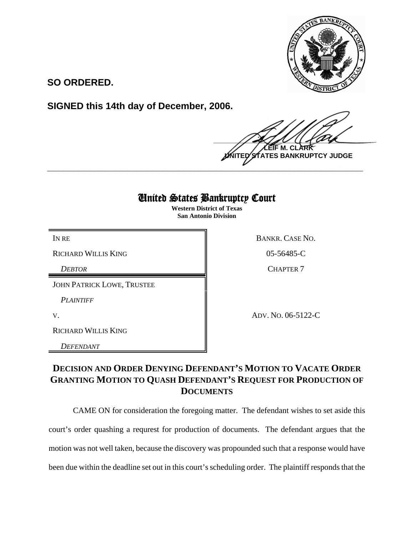

**SO ORDERED.**

**SIGNED this 14th day of December, 2006.**

 $\frac{1}{2}$ **M. C ATES BANKRUPTCY JUDGE** 

## United States Bankruptcy Court

**\_\_\_\_\_\_\_\_\_\_\_\_\_\_\_\_\_\_\_\_\_\_\_\_\_\_\_\_\_\_\_\_\_\_\_\_\_\_\_\_\_\_\_\_\_\_\_\_\_\_\_\_\_\_\_\_\_\_\_\_**

**Western District of Texas San Antonio Division**

RICHARD WILLIS KING 05-56485-C

JOHN PATRICK LOWE, TRUSTEE

*PLAINTIFF* 

RICHARD WILLIS KING

*DEFENDANT* 

IN RE BANKR. CASE NO.

**DEBTOR** CHAPTER 7

V. ADV. NO. 06-5122-C

## **DECISION AND ORDER DENYING DEFENDANT'S MOTION TO VACATE ORDER GRANTING MOTION TO QUASH DEFENDANT'S REQUEST FOR PRODUCTION OF DOCUMENTS**

CAME ON for consideration the foregoing matter. The defendant wishes to set aside this court's order quashing a requrest for production of documents. The defendant argues that the motion was not well taken, because the discovery was propounded such that a response would have been due within the deadline set out in this court's scheduling order. The plaintiff responds that the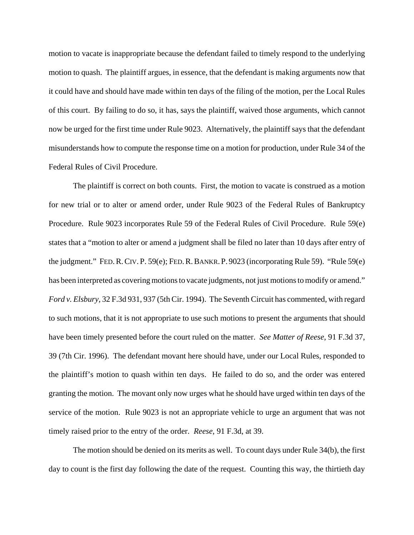motion to vacate is inappropriate because the defendant failed to timely respond to the underlying motion to quash. The plaintiff argues, in essence, that the defendant is making arguments now that it could have and should have made within ten days of the filing of the motion, per the Local Rules of this court. By failing to do so, it has, says the plaintiff, waived those arguments, which cannot now be urged for the first time under Rule 9023. Alternatively, the plaintiff says that the defendant misunderstands how to compute the response time on a motion for production, under Rule 34 of the Federal Rules of Civil Procedure.

The plaintiff is correct on both counts. First, the motion to vacate is construed as a motion for new trial or to alter or amend order, under Rule 9023 of the Federal Rules of Bankruptcy Procedure. Rule 9023 incorporates Rule 59 of the Federal Rules of Civil Procedure. Rule 59(e) states that a "motion to alter or amend a judgment shall be filed no later than 10 days after entry of the judgment." FED.R.CIV. P. 59(e); FED.R.BANKR. P. 9023 (incorporating Rule 59). "Rule 59(e) has been interpreted as covering motions to vacate judgments, not just motions to modify or amend." *Ford v. Elsbury*, 32 F.3d 931, 937 (5th Cir. 1994). The Seventh Circuit has commented, with regard to such motions, that it is not appropriate to use such motions to present the arguments that should have been timely presented before the court ruled on the matter. *See Matter of Reese*, 91 F.3d 37, 39 (7th Cir. 1996). The defendant movant here should have, under our Local Rules, responded to the plaintiff's motion to quash within ten days. He failed to do so, and the order was entered granting the motion. The movant only now urges what he should have urged within ten days of the service of the motion. Rule 9023 is not an appropriate vehicle to urge an argument that was not timely raised prior to the entry of the order. *Reese*, 91 F.3d, at 39.

The motion should be denied on its merits as well. To count days under Rule 34(b), the first day to count is the first day following the date of the request. Counting this way, the thirtieth day